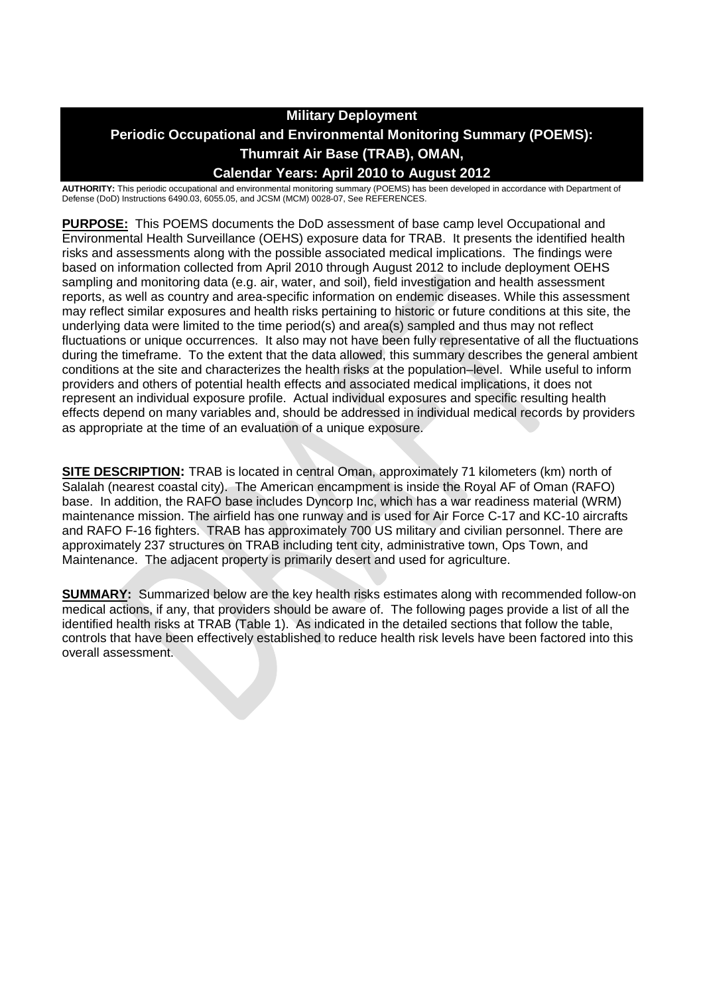# **Military Deployment Periodic Occupational and Environmental Monitoring Summary (POEMS): Thumrait Air Base (TRAB), OMAN, Calendar Years: April 2010 to August 2012**

**AUTHORITY:** This periodic occupational and environmental monitoring summary (POEMS) has been developed in accordance with Department of Defense (DoD) Instructions 6490.03, 6055.05, and JCSM (MCM) 0028-07, See REFERENCES.

**PURPOSE:** This POEMS documents the DoD assessment of base camp level Occupational and Environmental Health Surveillance (OEHS) exposure data for TRAB. It presents the identified health risks and assessments along with the possible associated medical implications. The findings were based on information collected from April 2010 through August 2012 to include deployment OEHS sampling and monitoring data (e.g. air, water, and soil), field investigation and health assessment reports, as well as country and area-specific information on endemic diseases. While this assessment may reflect similar exposures and health risks pertaining to historic or future conditions at this site, the underlying data were limited to the time period(s) and area(s) sampled and thus may not reflect fluctuations or unique occurrences. It also may not have been fully representative of all the fluctuations during the timeframe. To the extent that the data allowed, this summary describes the general ambient conditions at the site and characterizes the health risks at the population–level. While useful to inform providers and others of potential health effects and associated medical implications, it does not represent an individual exposure profile. Actual individual exposures and specific resulting health effects depend on many variables and, should be addressed in individual medical records by providers as appropriate at the time of an evaluation of a unique exposure.

**SITE DESCRIPTION:** TRAB is located in central Oman, approximately 71 kilometers (km) north of Salalah (nearest coastal city). The American encampment is inside the Royal AF of Oman (RAFO) base. In addition, the RAFO base includes Dyncorp Inc, which has a war readiness material (WRM) maintenance mission. The airfield has one runway and is used for Air Force C-17 and KC-10 aircrafts and RAFO F-16 fighters. TRAB has approximately 700 US military and civilian personnel. There are approximately 237 structures on TRAB including tent city, administrative town, Ops Town, and Maintenance. The adjacent property is primarily desert and used for agriculture.

**SUMMARY:** Summarized below are the key health risks estimates along with recommended follow-on medical actions, if any, that providers should be aware of. The following pages provide a list of all the identified health risks at TRAB (Table 1). As indicated in the detailed sections that follow the table, controls that have been effectively established to reduce health risk levels have been factored into this overall assessment.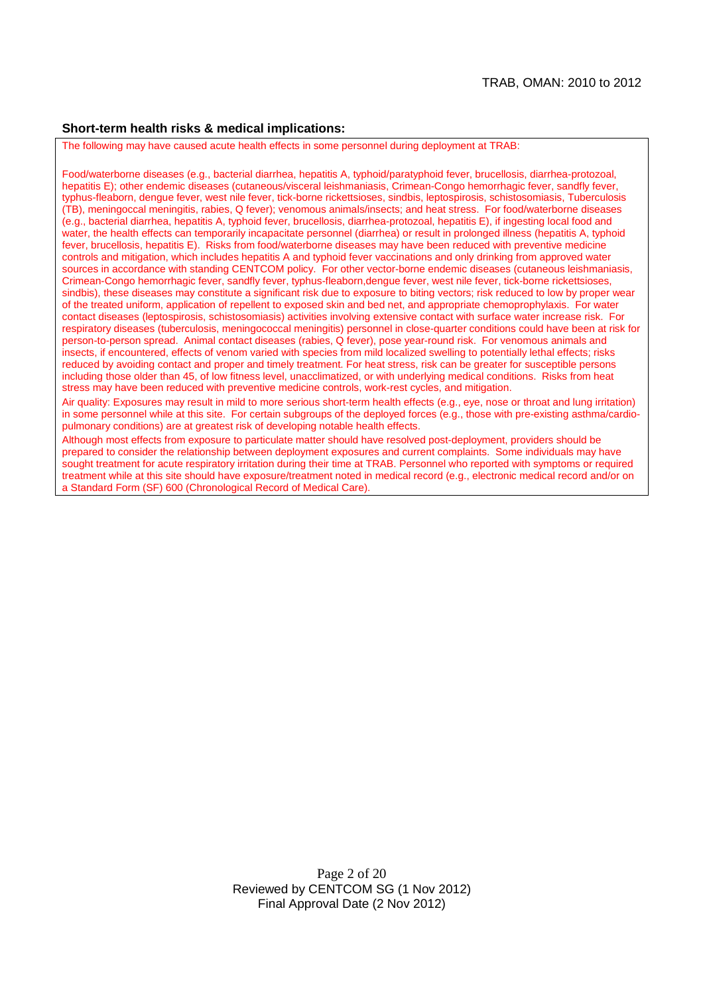#### **Short-term health risks & medical implications:**

The following may have caused acute health effects in some personnel during deployment at TRAB:

Food/waterborne diseases (e.g., bacterial diarrhea, hepatitis A, typhoid/paratyphoid fever, brucellosis, diarrhea-protozoal, hepatitis E); other endemic diseases (cutaneous/visceral leishmaniasis, Crimean-Congo hemorrhagic fever, sandfly fever, typhus-fleaborn, dengue fever, west nile fever, tick-borne rickettsioses, sindbis, leptospirosis, schistosomiasis, Tuberculosis (TB), meningoccal meningitis, rabies, Q fever); venomous animals/insects; and heat stress. For food/waterborne diseases (e.g., bacterial diarrhea, hepatitis A, typhoid fever, brucellosis, diarrhea-protozoal, hepatitis E), if ingesting local food and water, the health effects can temporarily incapacitate personnel (diarrhea) or result in prolonged illness (hepatitis A, typhoid fever, brucellosis, hepatitis E). Risks from food/waterborne diseases may have been reduced with preventive medicine controls and mitigation, which includes hepatitis A and typhoid fever vaccinations and only drinking from approved water sources in accordance with standing CENTCOM policy. For other vector-borne endemic diseases (cutaneous leishmaniasis, Crimean-Congo hemorrhagic fever, sandfly fever, typhus-fleaborn,dengue fever, west nile fever, tick-borne rickettsioses, sindbis), these diseases may constitute a significant risk due to exposure to biting vectors; risk reduced to low by proper wear of the treated uniform, application of repellent to exposed skin and bed net, and appropriate chemoprophylaxis. For water contact diseases (leptospirosis, schistosomiasis) activities involving extensive contact with surface water increase risk. For respiratory diseases (tuberculosis, meningococcal meningitis) personnel in close-quarter conditions could have been at risk for person-to-person spread. Animal contact diseases (rabies, Q fever), pose year-round risk. For venomous animals and insects, if encountered, effects of venom varied with species from mild localized swelling to potentially lethal effects; risks reduced by avoiding contact and proper and timely treatment. For heat stress, risk can be greater for susceptible persons including those older than 45, of low fitness level, unacclimatized, or with underlying medical conditions. Risks from heat stress may have been reduced with preventive medicine controls, work-rest cycles, and mitigation.

Air quality: Exposures may result in mild to more serious short-term health effects (e.g., eye, nose or throat and lung irritation) in some personnel while at this site. For certain subgroups of the deployed forces (e.g., those with pre-existing asthma/cardiopulmonary conditions) are at greatest risk of developing notable health effects.

Although most effects from exposure to particulate matter should have resolved post-deployment, providers should be prepared to consider the relationship between deployment exposures and current complaints. Some individuals may have sought treatment for acute respiratory irritation during their time at TRAB. Personnel who reported with symptoms or required treatment while at this site should have exposure/treatment noted in medical record (e.g., electronic medical record and/or on a Standard Form (SF) 600 (Chronological Record of Medical Care).

> Page 2 of 20 Reviewed by CENTCOM SG (1 Nov 2012) Final Approval Date (2 Nov 2012)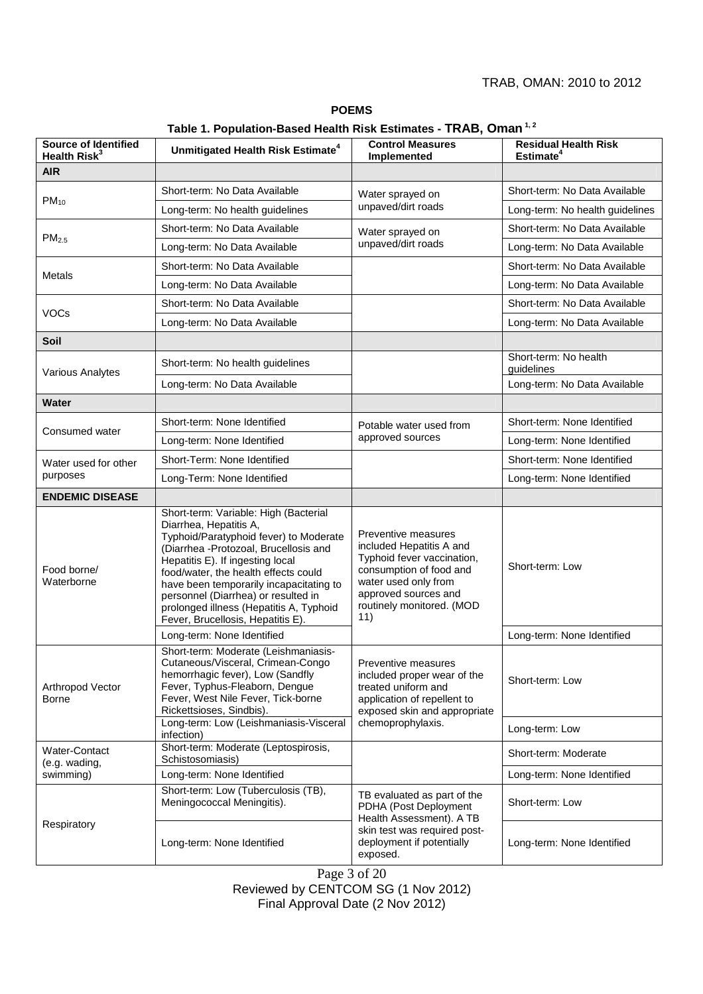#### TRAB, OMAN: 2010 to 2012

**Source of Identified Health Risk<sup>3</sup> Unmitigated Health Risk Estimate<sup>4</sup> Control Measures Implemented Residual Health Risk Estimate<sup>4</sup> AIR**  $PM_{10}$ Short-term: No Data Available Water sprayed on unpaved/dirt roads Short-term: No Data Available Long-term: No health guidelines | unpaved/dirt roads | Long-term: No health guidelines  $PM<sub>2.5</sub>$ Short-term: No Data Available Water sprayed on unpaved/dirt roads Short-term: No Data Available Long-term: No Data Available | Unpaved/dirt roads | Long-term: No Data Available Metals Short-term: No Data Available **Short-term: No Data Available** Short-term: No Data Available Long-term: No Data Available Long-term: No Data Available VOCs Short-term: No Data Available **Short-term: No Data Available** Short-term: No Data Available Long-term: No Data Available Long-term: No Data Available **Soil** Various Analytes Short-term: No health guidelines Short-term: No health guidelines Long-term: No Data Available Long-term: No Data Available **Water** Consumed water Short-term: None Identified **Potable water used from** approved sources Short-term: None Identified Long-term: None Identified and approved sources and Long-term: None Identified Water used for other purposes Short-Term: None Identified Short-term: None Identified Long-Term: None Identified **Long-Term: None Identified** Long-term: None Identified **ENDEMIC DISEASE** Food borne/ Waterborne Short-term: Variable: High (Bacterial Diarrhea, Hepatitis A, Typhoid/Paratyphoid fever) to Moderate (Diarrhea -Protozoal, Brucellosis and Hepatitis E). If ingesting local food/water, the health effects could have been temporarily incapacitating to personnel (Diarrhea) or resulted in prolonged illness (Hepatitis A, Typhoid Fever, Brucellosis, Hepatitis E). Preventive measures included Hepatitis A and Typhoid fever vaccination, consumption of food and water used only from approved sources and routinely monitored. (MOD 11) Short-term: Low Long-term: None Identified Long-term: None Identified Arthropod Vector Borne Short-term: Moderate (Leishmaniasis-Cutaneous/Visceral, Crimean-Congo hemorrhagic fever), Low (Sandfly Fever, Typhus-Fleaborn, Dengue Fever, West Nile Fever, Tick-borne Rickettsioses, Sindbis). Preventive measures included proper wear of the treated uniform and application of repellent to exposed skin and appropriate chemoprophylaxis. Short-term: Low Long-term: Low (Leishmaniasis-Visceral Long-term: Low (Leishmaniasis-viscerar chemopropriyiaxis.<br>infection) Long-term: Low Water-Contact (e.g. wading, swimming) Short-term: Moderate (Leptospirosis, Short-term: Moderate (Leptospirosis,<br>Schistosomiasis) Moderate Long-term: None Identified Long-term: None Identified Respiratory Short-term: Low (Tuberculosis (TB), Short-term: Low (Tuberculosis (TB),<br>Meningococcal Meningitis). TB evaluated as part of the<br>PDHA (Post Deployment PDHA (Post Deployment Health Assessment). A TB skin test was required postdeployment if potentially exposed. Short-term: Low Long-term: None Identified and all deployment if potentially and Long-term: None Identified

**POEMS Table 1. Population-Based Health Risk Estimates - TRAB, Oman 1, 2**

Page 3 of 20 Reviewed by CENTCOM SG (1 Nov 2012)

Final Approval Date (2 Nov 2012)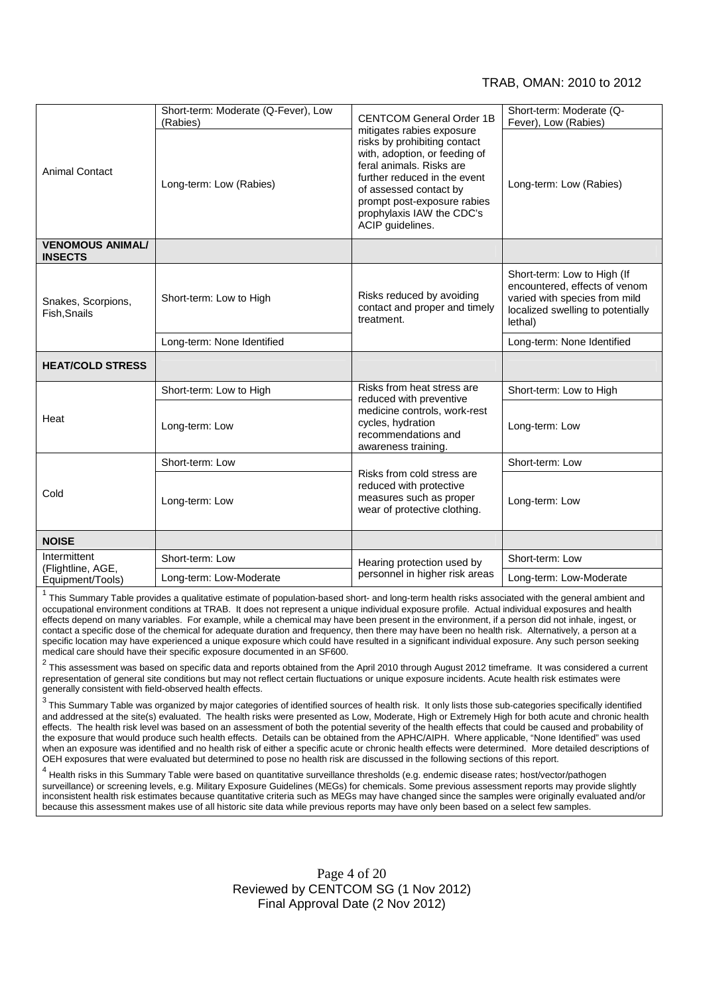### TRAB, OMAN: 2010 to 2012

| <b>Animal Contact</b>                                 | Short-term: Moderate (Q-Fever), Low<br>(Rabies) | <b>CENTCOM General Order 1B</b><br>mitigates rabies exposure<br>risks by prohibiting contact<br>with, adoption, or feeding of<br>feral animals. Risks are<br>further reduced in the event<br>of assessed contact by<br>prompt post-exposure rabies<br>prophylaxis IAW the CDC's<br>ACIP guidelines. | Short-term: Moderate (Q-<br>Fever), Low (Rabies)                                                                                              |
|-------------------------------------------------------|-------------------------------------------------|-----------------------------------------------------------------------------------------------------------------------------------------------------------------------------------------------------------------------------------------------------------------------------------------------------|-----------------------------------------------------------------------------------------------------------------------------------------------|
|                                                       | Long-term: Low (Rabies)                         |                                                                                                                                                                                                                                                                                                     | Long-term: Low (Rabies)                                                                                                                       |
| <b>VENOMOUS ANIMAL/</b><br><b>INSECTS</b>             |                                                 |                                                                                                                                                                                                                                                                                                     |                                                                                                                                               |
| Snakes, Scorpions,<br>Fish, Snails                    | Short-term: Low to High                         | Risks reduced by avoiding<br>contact and proper and timely<br>treatment.                                                                                                                                                                                                                            | Short-term: Low to High (If<br>encountered, effects of venom<br>varied with species from mild<br>localized swelling to potentially<br>lethal) |
|                                                       | Long-term: None Identified                      |                                                                                                                                                                                                                                                                                                     | Long-term: None Identified                                                                                                                    |
| <b>HEAT/COLD STRESS</b>                               |                                                 |                                                                                                                                                                                                                                                                                                     |                                                                                                                                               |
| Heat                                                  | Short-term: Low to High                         | Risks from heat stress are<br>reduced with preventive<br>medicine controls, work-rest<br>cycles, hydration<br>recommendations and<br>awareness training.                                                                                                                                            | Short-term: Low to High                                                                                                                       |
|                                                       | Long-term: Low                                  |                                                                                                                                                                                                                                                                                                     | Long-term: Low                                                                                                                                |
| Cold                                                  | Short-term: Low                                 | Risks from cold stress are<br>reduced with protective<br>measures such as proper<br>wear of protective clothing.                                                                                                                                                                                    | Short-term: Low                                                                                                                               |
|                                                       | Long-term: Low                                  |                                                                                                                                                                                                                                                                                                     | Long-term: Low                                                                                                                                |
| <b>NOISE</b>                                          |                                                 |                                                                                                                                                                                                                                                                                                     |                                                                                                                                               |
| Intermittent<br>(Flightline, AGE,<br>Equipment/Tools) | Short-term: Low                                 | Hearing protection used by<br>personnel in higher risk areas                                                                                                                                                                                                                                        | Short-term: Low                                                                                                                               |
|                                                       | Long-term: Low-Moderate                         |                                                                                                                                                                                                                                                                                                     | Long-term: Low-Moderate                                                                                                                       |

 $^1$  This Summary Table provides a qualitative estimate of population-based short- and long-term health risks associated with the general ambient and occupational environment conditions at TRAB. It does not represent a unique individual exposure profile. Actual individual exposures and health effects depend on many variables. For example, while a chemical may have been present in the environment, if a person did not inhale, ingest, or contact a specific dose of the chemical for adequate duration and frequency, then there may have been no health risk. Alternatively, a person at a specific location may have experienced a unique exposure which could have resulted in a significant individual exposure. Any such person seeking medical care should have their specific exposure documented in an SF600.

 $^2$  This assessment was based on specific data and reports obtained from the April 2010 through August 2012 timeframe. It was considered a current representation of general site conditions but may not reflect certain fluctuations or unique exposure incidents. Acute health risk estimates were generally consistent with field-observed health effects.

 $^3$  This Summary Table was organized by major categories of identified sources of health risk. It only lists those sub-categories specifically identified and addressed at the site(s) evaluated. The health risks were presented as Low, Moderate, High or Extremely High for both acute and chronic health effects. The health risk level was based on an assessment of both the potential severity of the health effects that could be caused and probability of the exposure that would produce such health effects. Details can be obtained from the APHC/AIPH. Where applicable, "None Identified" was used when an exposure was identified and no health risk of either a specific acute or chronic health effects were determined. More detailed descriptions of OEH exposures that were evaluated but determined to pose no health risk are discussed in the following sections of this report.

<sup>4</sup> Health risks in this Summary Table were based on quantitative surveillance thresholds (e.g. endemic disease rates; host/vector/pathogen surveillance) or screening levels, e.g. Military Exposure Guidelines (MEGs) for chemicals. Some previous assessment reports may provide slightly inconsistent health risk estimates because quantitative criteria such as MEGs may have changed since the samples were originally evaluated and/or because this assessment makes use of all historic site data while previous reports may have only been based on a select few samples.

> Page 4 of 20 Reviewed by CENTCOM SG (1 Nov 2012) Final Approval Date (2 Nov 2012)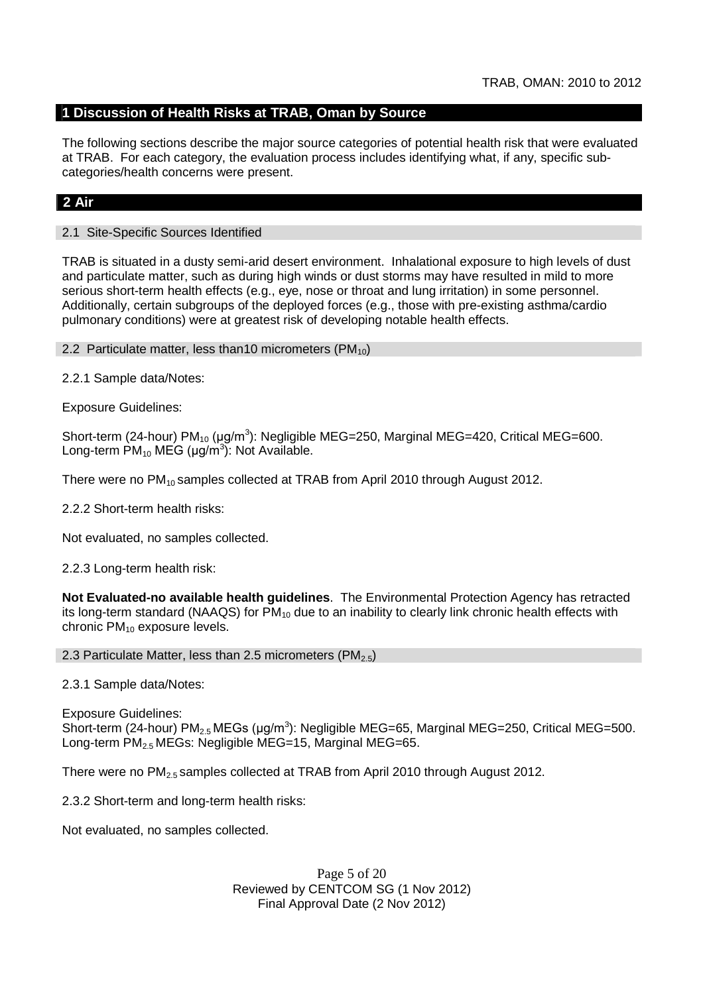## **1 Discussion of Health Risks at TRAB, Oman by Source**

The following sections describe the major source categories of potential health risk that were evaluated at TRAB. For each category, the evaluation process includes identifying what, if any, specific subcategories/health concerns were present.

## **2 Air**

### 2.1 Site-Specific Sources Identified

TRAB is situated in a dusty semi-arid desert environment. Inhalational exposure to high levels of dust and particulate matter, such as during high winds or dust storms may have resulted in mild to more serious short-term health effects (e.g., eye, nose or throat and lung irritation) in some personnel. Additionally, certain subgroups of the deployed forces (e.g., those with pre-existing asthma/cardio pulmonary conditions) were at greatest risk of developing notable health effects.

2.2 Particulate matter, less than10 micrometers  $(PM_{10})$ 

2.2.1 Sample data/Notes:

Exposure Guidelines:

Short-term (24-hour) PM<sub>10</sub> (μg/m<sup>3</sup>): Negligible MEG=250, Marginal MEG=420, Critical MEG=600. Long-term  $PM_{10}$  MEG (µg/m<sup>3</sup>): Not Available.

There were no PM<sub>10</sub> samples collected at TRAB from April 2010 through August 2012.

2.2.2 Short-term health risks:

Not evaluated, no samples collected.

2.2.3 Long-term health risk:

**Not Evaluated-no available health guidelines**. The Environmental Protection Agency has retracted its long-term standard (NAAQS) for  $PM_{10}$  due to an inability to clearly link chronic health effects with chronic PM<sub>10</sub> exposure levels.

2.3 Particulate Matter, less than 2.5 micrometers ( $PM_{2.5}$ )

2.3.1 Sample data/Notes:

Exposure Guidelines: Short-term (24-hour) PM<sub>2.5</sub> MEGs (μg/m<sup>3</sup>): Negligible MEG=65, Marginal MEG=250, Critical MEG=500. Long-term PM<sub>2.5</sub> MEGs: Negligible MEG=15, Marginal MEG=65.

There were no PM2.5 samples collected at TRAB from April 2010 through August 2012.

2.3.2 Short-term and long-term health risks:

Not evaluated, no samples collected.

Page 5 of 20 Reviewed by CENTCOM SG (1 Nov 2012) Final Approval Date (2 Nov 2012)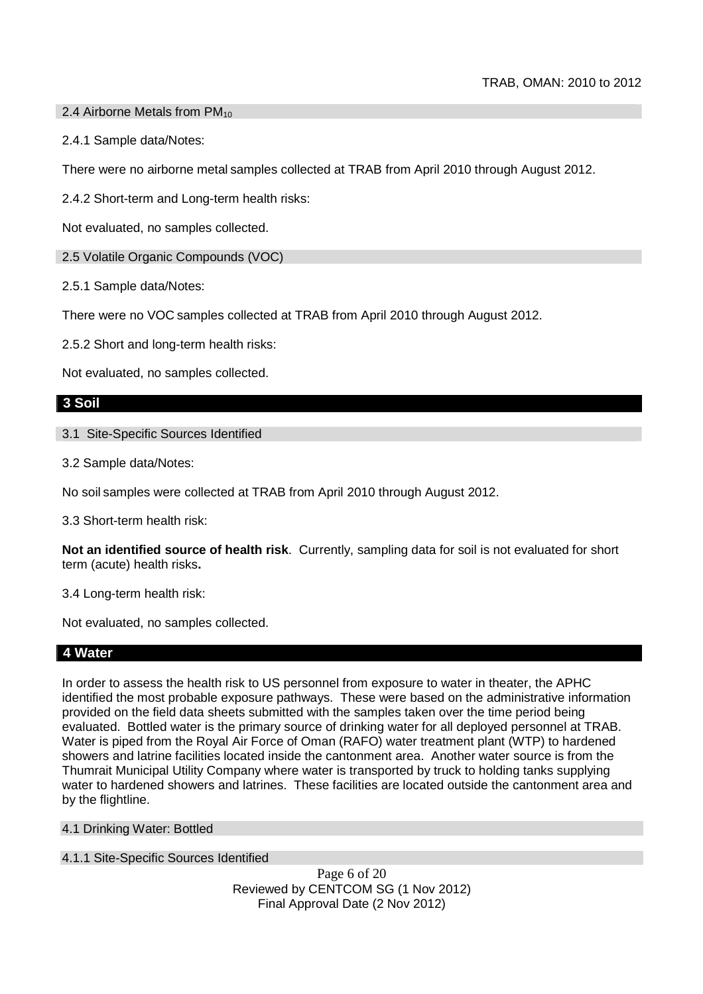2.4 Airborne Metals from  $PM_{10}$ 

2.4.1 Sample data/Notes:

There were no airborne metal samples collected at TRAB from April 2010 through August 2012.

2.4.2 Short-term and Long-term health risks:

Not evaluated, no samples collected.

2.5 Volatile Organic Compounds (VOC)

2.5.1 Sample data/Notes:

There were no VOC samples collected at TRAB from April 2010 through August 2012.

2.5.2 Short and long-term health risks:

Not evaluated, no samples collected.

### **3 Soil**

3.1 Site-Specific Sources Identified

3.2 Sample data/Notes:

No soil samples were collected at TRAB from April 2010 through August 2012.

3.3 Short-term health risk:

**Not an identified source of health risk**. Currently, sampling data for soil is not evaluated for short term (acute) health risks**.**

3.4 Long-term health risk:

Not evaluated, no samples collected.

## **4 Water**

In order to assess the health risk to US personnel from exposure to water in theater, the APHC identified the most probable exposure pathways. These were based on the administrative information provided on the field data sheets submitted with the samples taken over the time period being evaluated. Bottled water is the primary source of drinking water for all deployed personnel at TRAB. Water is piped from the Royal Air Force of Oman (RAFO) water treatment plant (WTP) to hardened showers and latrine facilities located inside the cantonment area. Another water source is from the Thumrait Municipal Utility Company where water is transported by truck to holding tanks supplying water to hardened showers and latrines. These facilities are located outside the cantonment area and by the flightline.

#### 4.1 Drinking Water: Bottled

#### 4.1.1 Site-Specific Sources Identified

Page 6 of 20 Reviewed by CENTCOM SG (1 Nov 2012) Final Approval Date (2 Nov 2012)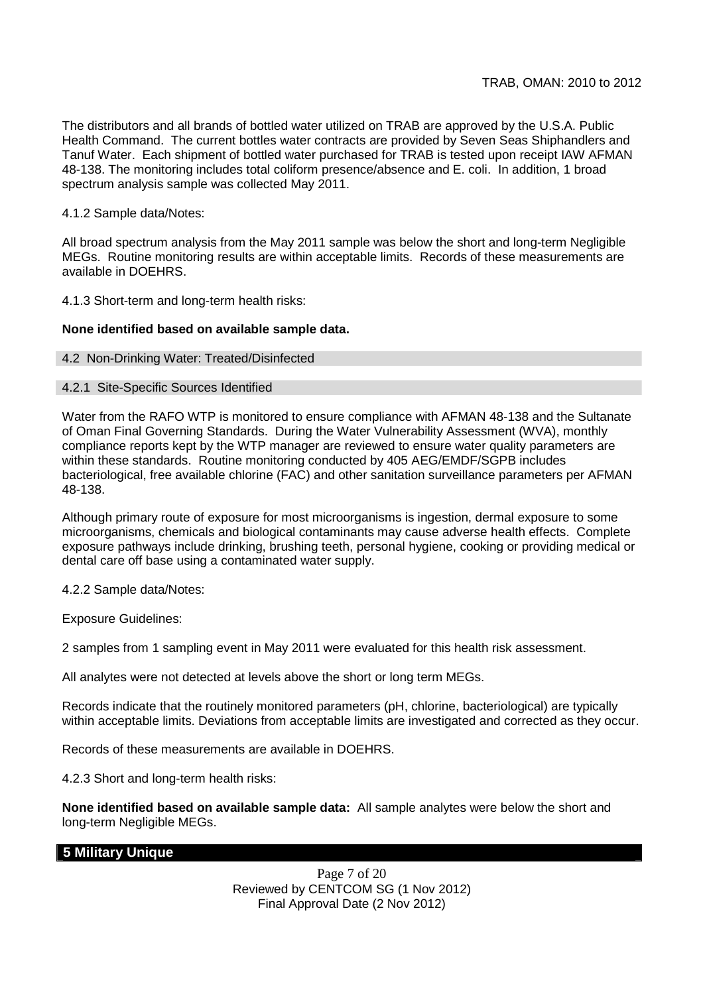The distributors and all brands of bottled water utilized on TRAB are approved by the U.S.A. Public Health Command. The current bottles water contracts are provided by Seven Seas Shiphandlers and Tanuf Water. Each shipment of bottled water purchased for TRAB is tested upon receipt IAW AFMAN 48-138. The monitoring includes total coliform presence/absence and E. coli. In addition, 1 broad spectrum analysis sample was collected May 2011.

4.1.2 Sample data/Notes:

All broad spectrum analysis from the May 2011 sample was below the short and long-term Negligible MEGs. Routine monitoring results are within acceptable limits. Records of these measurements are available in DOEHRS.

4.1.3 Short-term and long-term health risks:

### **None identified based on available sample data.**

#### 4.2 Non-Drinking Water: Treated/Disinfected

#### 4.2.1 Site-Specific Sources Identified

Water from the RAFO WTP is monitored to ensure compliance with AFMAN 48-138 and the Sultanate of Oman Final Governing Standards. During the Water Vulnerability Assessment (WVA), monthly compliance reports kept by the WTP manager are reviewed to ensure water quality parameters are within these standards. Routine monitoring conducted by 405 AEG/EMDF/SGPB includes bacteriological, free available chlorine (FAC) and other sanitation surveillance parameters per AFMAN 48-138.

Although primary route of exposure for most microorganisms is ingestion, dermal exposure to some microorganisms, chemicals and biological contaminants may cause adverse health effects. Complete exposure pathways include drinking, brushing teeth, personal hygiene, cooking or providing medical or dental care off base using a contaminated water supply.

#### 4.2.2 Sample data/Notes:

Exposure Guidelines:

2 samples from 1 sampling event in May 2011 were evaluated for this health risk assessment.

All analytes were not detected at levels above the short or long term MEGs.

Records indicate that the routinely monitored parameters (pH, chlorine, bacteriological) are typically within acceptable limits. Deviations from acceptable limits are investigated and corrected as they occur.

Records of these measurements are available in DOEHRS.

4.2.3 Short and long-term health risks:

**None identified based on available sample data:** All sample analytes were below the short and long-term Negligible MEGs.

## **5 Military Unique**

Page 7 of 20 Reviewed by CENTCOM SG (1 Nov 2012) Final Approval Date (2 Nov 2012)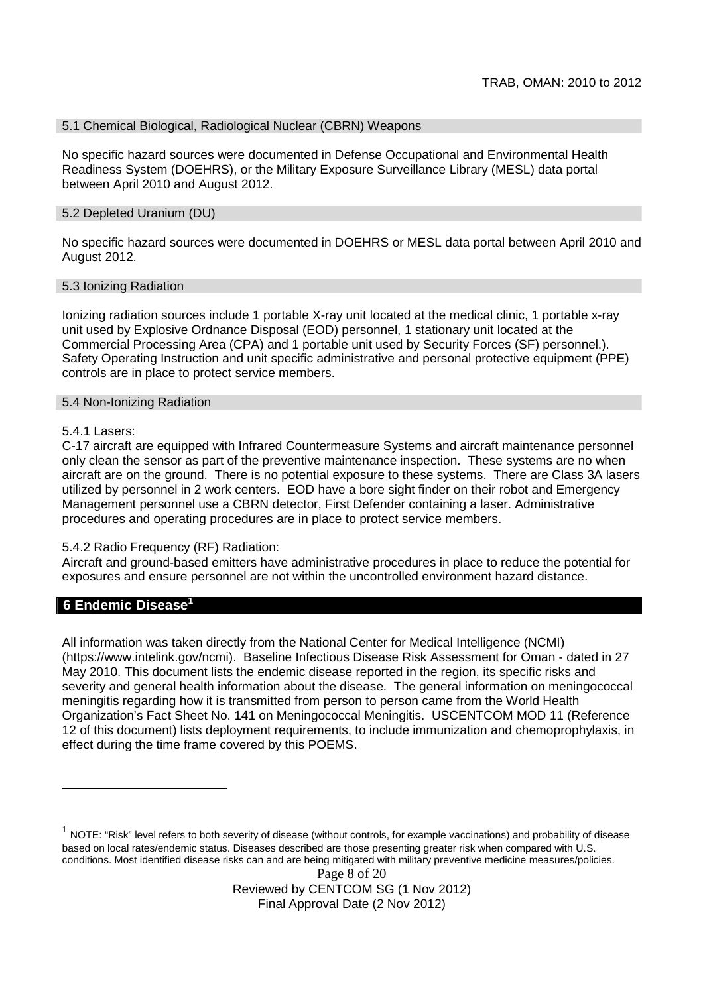### 5.1 Chemical Biological, Radiological Nuclear (CBRN) Weapons

No specific hazard sources were documented in Defense Occupational and Environmental Health Readiness System (DOEHRS), or the Military Exposure Surveillance Library (MESL) data portal between April 2010 and August 2012.

#### 5.2 Depleted Uranium (DU)

No specific hazard sources were documented in DOEHRS or MESL data portal between April 2010 and August 2012.

#### 5.3 Ionizing Radiation

Ionizing radiation sources include 1 portable X-ray unit located at the medical clinic, 1 portable x-ray unit used by Explosive Ordnance Disposal (EOD) personnel, 1 stationary unit located at the Commercial Processing Area (CPA) and 1 portable unit used by Security Forces (SF) personnel.). Safety Operating Instruction and unit specific administrative and personal protective equipment (PPE) controls are in place to protect service members.

#### 5.4 Non-Ionizing Radiation

#### 5.4.1 Lasers:

C-17 aircraft are equipped with Infrared Countermeasure Systems and aircraft maintenance personnel only clean the sensor as part of the preventive maintenance inspection. These systems are no when aircraft are on the ground. There is no potential exposure to these systems. There are Class 3A lasers utilized by personnel in 2 work centers. EOD have a bore sight finder on their robot and Emergency Management personnel use a CBRN detector, First Defender containing a laser. Administrative procedures and operating procedures are in place to protect service members.

#### 5.4.2 Radio Frequency (RF) Radiation:

Aircraft and ground-based emitters have administrative procedures in place to reduce the potential for exposures and ensure personnel are not within the uncontrolled environment hazard distance.

## **6 Endemic Disease<sup>1</sup>**

All information was taken directly from the National Center for Medical Intelligence (NCMI) (https://www.intelink.gov/ncmi). Baseline Infectious Disease Risk Assessment for Oman - dated in 27 May 2010. This document lists the endemic disease reported in the region, its specific risks and severity and general health information about the disease. The general information on meningococcal meningitis regarding how it is transmitted from person to person came from the World Health Organization's Fact Sheet No. 141 on Meningococcal Meningitis. USCENTCOM MOD 11 (Reference 12 of this document) lists deployment requirements, to include immunization and chemoprophylaxis, in effect during the time frame covered by this POEMS.

 $^1$  NOTE: "Risk" level refers to both severity of disease (without controls, for example vaccinations) and probability of disease based on local rates/endemic status. Diseases described are those presenting greater risk when compared with U.S. conditions. Most identified disease risks can and are being mitigated with military preventive medicine measures/policies.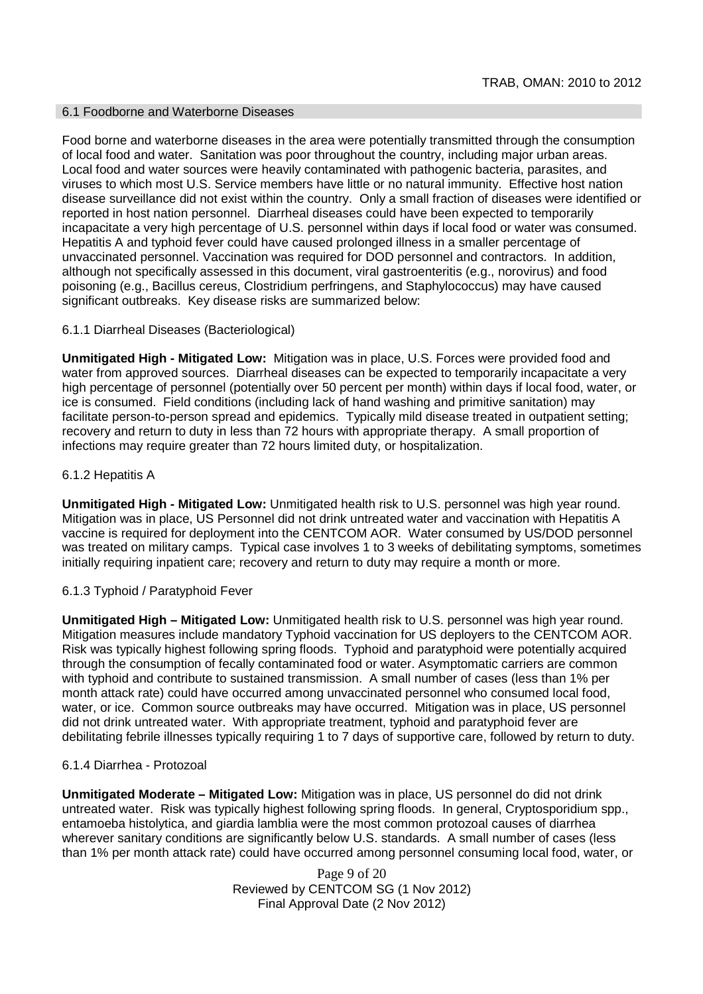#### 6.1 Foodborne and Waterborne Diseases

Food borne and waterborne diseases in the area were potentially transmitted through the consumption of local food and water. Sanitation was poor throughout the country, including major urban areas. Local food and water sources were heavily contaminated with pathogenic bacteria, parasites, and viruses to which most U.S. Service members have little or no natural immunity. Effective host nation disease surveillance did not exist within the country. Only a small fraction of diseases were identified or reported in host nation personnel. Diarrheal diseases could have been expected to temporarily incapacitate a very high percentage of U.S. personnel within days if local food or water was consumed. Hepatitis A and typhoid fever could have caused prolonged illness in a smaller percentage of unvaccinated personnel. Vaccination was required for DOD personnel and contractors. In addition, although not specifically assessed in this document, viral gastroenteritis (e.g., norovirus) and food poisoning (e.g., Bacillus cereus, Clostridium perfringens, and Staphylococcus) may have caused significant outbreaks. Key disease risks are summarized below:

### 6.1.1 Diarrheal Diseases (Bacteriological)

**Unmitigated High - Mitigated Low:** Mitigation was in place, U.S. Forces were provided food and water from approved sources. Diarrheal diseases can be expected to temporarily incapacitate a very high percentage of personnel (potentially over 50 percent per month) within days if local food, water, or ice is consumed. Field conditions (including lack of hand washing and primitive sanitation) may facilitate person-to-person spread and epidemics. Typically mild disease treated in outpatient setting; recovery and return to duty in less than 72 hours with appropriate therapy. A small proportion of infections may require greater than 72 hours limited duty, or hospitalization.

### 6.1.2 Hepatitis A

**Unmitigated High - Mitigated Low:** Unmitigated health risk to U.S. personnel was high year round. Mitigation was in place, US Personnel did not drink untreated water and vaccination with Hepatitis A vaccine is required for deployment into the CENTCOM AOR. Water consumed by US/DOD personnel was treated on military camps. Typical case involves 1 to 3 weeks of debilitating symptoms, sometimes initially requiring inpatient care; recovery and return to duty may require a month or more.

## 6.1.3 Typhoid / Paratyphoid Fever

**Unmitigated High – Mitigated Low:** Unmitigated health risk to U.S. personnel was high year round. Mitigation measures include mandatory Typhoid vaccination for US deployers to the CENTCOM AOR. Risk was typically highest following spring floods. Typhoid and paratyphoid were potentially acquired through the consumption of fecally contaminated food or water. Asymptomatic carriers are common with typhoid and contribute to sustained transmission. A small number of cases (less than 1% per month attack rate) could have occurred among unvaccinated personnel who consumed local food, water, or ice. Common source outbreaks may have occurred. Mitigation was in place, US personnel did not drink untreated water. With appropriate treatment, typhoid and paratyphoid fever are debilitating febrile illnesses typically requiring 1 to 7 days of supportive care, followed by return to duty.

#### 6.1.4 Diarrhea - Protozoal

**Unmitigated Moderate – Mitigated Low:** Mitigation was in place, US personnel do did not drink untreated water. Risk was typically highest following spring floods. In general, Cryptosporidium spp., entamoeba histolytica, and giardia lamblia were the most common protozoal causes of diarrhea wherever sanitary conditions are significantly below U.S. standards. A small number of cases (less than 1% per month attack rate) could have occurred among personnel consuming local food, water, or

> Page 9 of 20 Reviewed by CENTCOM SG (1 Nov 2012) Final Approval Date (2 Nov 2012)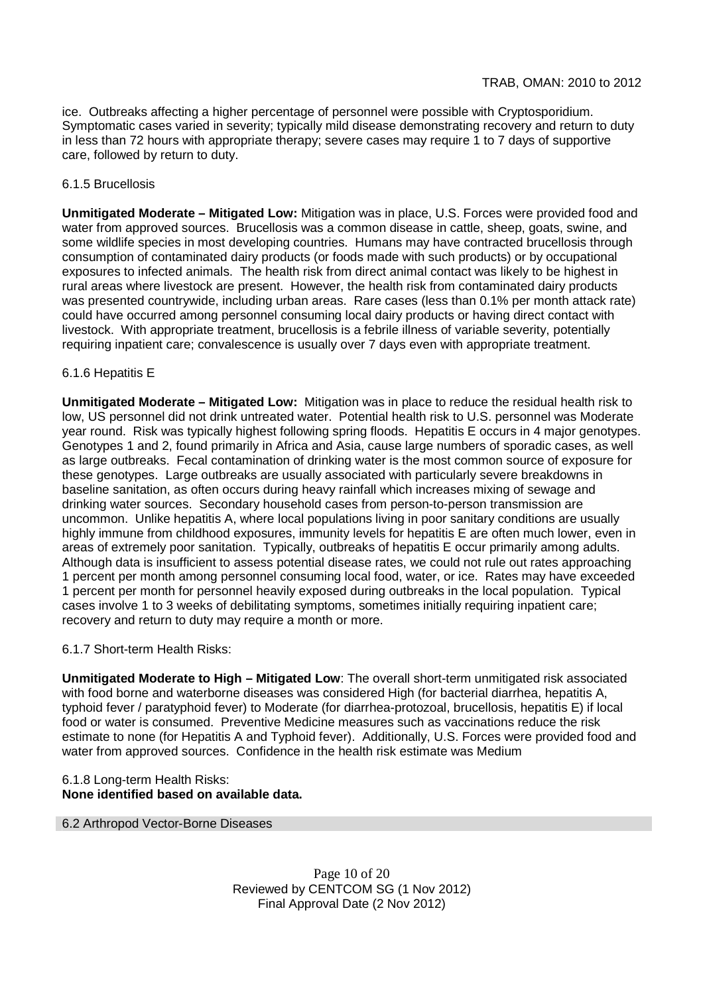ice. Outbreaks affecting a higher percentage of personnel were possible with Cryptosporidium. Symptomatic cases varied in severity; typically mild disease demonstrating recovery and return to duty in less than 72 hours with appropriate therapy; severe cases may require 1 to 7 days of supportive care, followed by return to duty.

### 6.1.5 Brucellosis

**Unmitigated Moderate – Mitigated Low:** Mitigation was in place, U.S. Forces were provided food and water from approved sources. Brucellosis was a common disease in cattle, sheep, goats, swine, and some wildlife species in most developing countries. Humans may have contracted brucellosis through consumption of contaminated dairy products (or foods made with such products) or by occupational exposures to infected animals. The health risk from direct animal contact was likely to be highest in rural areas where livestock are present. However, the health risk from contaminated dairy products was presented countrywide, including urban areas. Rare cases (less than 0.1% per month attack rate) could have occurred among personnel consuming local dairy products or having direct contact with livestock. With appropriate treatment, brucellosis is a febrile illness of variable severity, potentially requiring inpatient care; convalescence is usually over 7 days even with appropriate treatment.

### 6.1.6 Hepatitis E

**Unmitigated Moderate – Mitigated Low:** Mitigation was in place to reduce the residual health risk to low, US personnel did not drink untreated water. Potential health risk to U.S. personnel was Moderate year round. Risk was typically highest following spring floods. Hepatitis E occurs in 4 major genotypes. Genotypes 1 and 2, found primarily in Africa and Asia, cause large numbers of sporadic cases, as well as large outbreaks. Fecal contamination of drinking water is the most common source of exposure for these genotypes. Large outbreaks are usually associated with particularly severe breakdowns in baseline sanitation, as often occurs during heavy rainfall which increases mixing of sewage and drinking water sources. Secondary household cases from person-to-person transmission are uncommon. Unlike hepatitis A, where local populations living in poor sanitary conditions are usually highly immune from childhood exposures, immunity levels for hepatitis E are often much lower, even in areas of extremely poor sanitation. Typically, outbreaks of hepatitis E occur primarily among adults. Although data is insufficient to assess potential disease rates, we could not rule out rates approaching 1 percent per month among personnel consuming local food, water, or ice. Rates may have exceeded 1 percent per month for personnel heavily exposed during outbreaks in the local population. Typical cases involve 1 to 3 weeks of debilitating symptoms, sometimes initially requiring inpatient care; recovery and return to duty may require a month or more.

#### 6.1.7 Short-term Health Risks:

**Unmitigated Moderate to High – Mitigated Low**: The overall short-term unmitigated risk associated with food borne and waterborne diseases was considered High (for bacterial diarrhea, hepatitis A, typhoid fever / paratyphoid fever) to Moderate (for diarrhea-protozoal, brucellosis, hepatitis E) if local food or water is consumed. Preventive Medicine measures such as vaccinations reduce the risk estimate to none (for Hepatitis A and Typhoid fever). Additionally, U.S. Forces were provided food and water from approved sources. Confidence in the health risk estimate was Medium

### 6.1.8 Long-term Health Risks: **None identified based on available data.**

6.2 Arthropod Vector-Borne Diseases

Page 10 of 20 Reviewed by CENTCOM SG (1 Nov 2012) Final Approval Date (2 Nov 2012)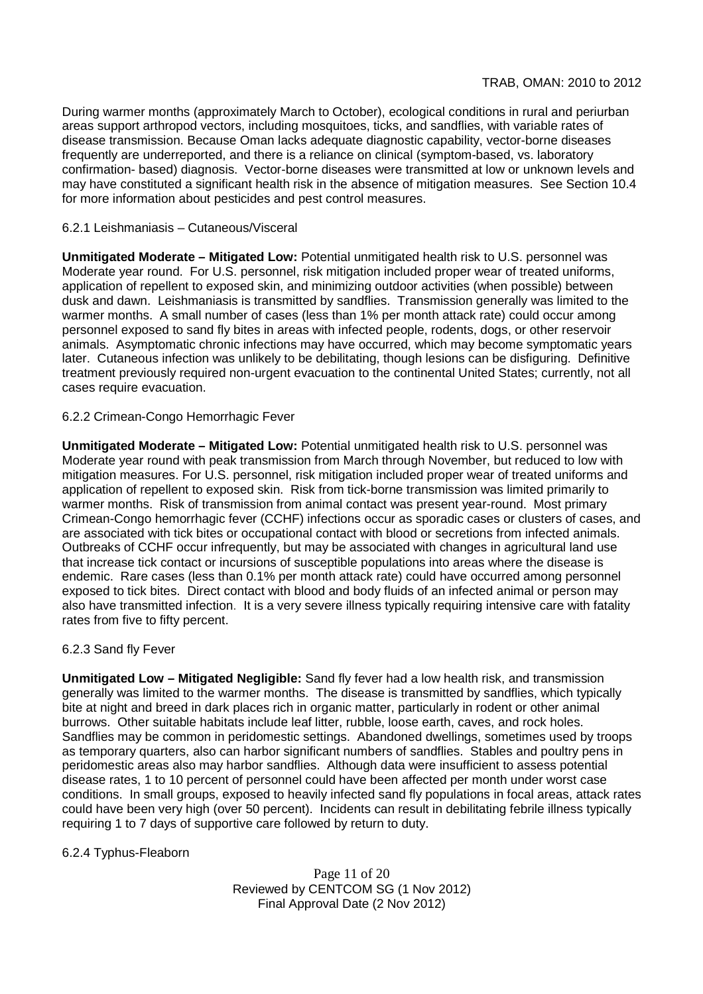During warmer months (approximately March to October), ecological conditions in rural and periurban areas support arthropod vectors, including mosquitoes, ticks, and sandflies, with variable rates of disease transmission. Because Oman lacks adequate diagnostic capability, vector-borne diseases frequently are underreported, and there is a reliance on clinical (symptom-based, vs. laboratory confirmation- based) diagnosis. Vector-borne diseases were transmitted at low or unknown levels and may have constituted a significant health risk in the absence of mitigation measures. See Section 10.4 for more information about pesticides and pest control measures.

#### 6.2.1 Leishmaniasis – Cutaneous/Visceral

**Unmitigated Moderate – Mitigated Low:** Potential unmitigated health risk to U.S. personnel was Moderate year round. For U.S. personnel, risk mitigation included proper wear of treated uniforms, application of repellent to exposed skin, and minimizing outdoor activities (when possible) between dusk and dawn. Leishmaniasis is transmitted by sandflies. Transmission generally was limited to the warmer months. A small number of cases (less than 1% per month attack rate) could occur among personnel exposed to sand fly bites in areas with infected people, rodents, dogs, or other reservoir animals. Asymptomatic chronic infections may have occurred, which may become symptomatic years later. Cutaneous infection was unlikely to be debilitating, though lesions can be disfiguring. Definitive treatment previously required non-urgent evacuation to the continental United States; currently, not all cases require evacuation.

## 6.2.2 Crimean-Congo Hemorrhagic Fever

**Unmitigated Moderate – Mitigated Low:** Potential unmitigated health risk to U.S. personnel was Moderate year round with peak transmission from March through November, but reduced to low with mitigation measures. For U.S. personnel, risk mitigation included proper wear of treated uniforms and application of repellent to exposed skin. Risk from tick-borne transmission was limited primarily to warmer months. Risk of transmission from animal contact was present year-round. Most primary Crimean-Congo hemorrhagic fever (CCHF) infections occur as sporadic cases or clusters of cases, and are associated with tick bites or occupational contact with blood or secretions from infected animals. Outbreaks of CCHF occur infrequently, but may be associated with changes in agricultural land use that increase tick contact or incursions of susceptible populations into areas where the disease is endemic. Rare cases (less than 0.1% per month attack rate) could have occurred among personnel exposed to tick bites. Direct contact with blood and body fluids of an infected animal or person may also have transmitted infection. It is a very severe illness typically requiring intensive care with fatality rates from five to fifty percent.

## 6.2.3 Sand fly Fever

**Unmitigated Low – Mitigated Negligible:** Sand fly fever had a low health risk, and transmission generally was limited to the warmer months. The disease is transmitted by sandflies, which typically bite at night and breed in dark places rich in organic matter, particularly in rodent or other animal burrows. Other suitable habitats include leaf litter, rubble, loose earth, caves, and rock holes. Sandflies may be common in peridomestic settings. Abandoned dwellings, sometimes used by troops as temporary quarters, also can harbor significant numbers of sandflies. Stables and poultry pens in peridomestic areas also may harbor sandflies. Although data were insufficient to assess potential disease rates, 1 to 10 percent of personnel could have been affected per month under worst case conditions. In small groups, exposed to heavily infected sand fly populations in focal areas, attack rates could have been very high (over 50 percent). Incidents can result in debilitating febrile illness typically requiring 1 to 7 days of supportive care followed by return to duty.

## 6.2.4 Typhus-Fleaborn

Page 11 of 20 Reviewed by CENTCOM SG (1 Nov 2012) Final Approval Date (2 Nov 2012)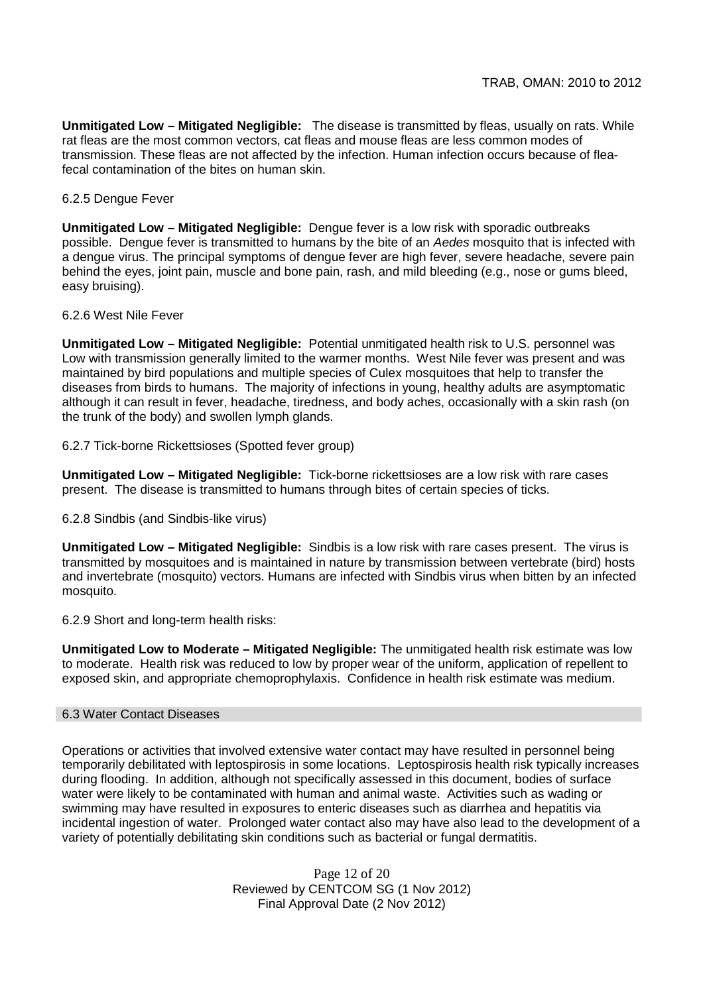**Unmitigated Low – Mitigated Negligible:** The disease is transmitted by fleas, usually on rats. While rat fleas are the most common vectors, cat fleas and mouse fleas are less common modes of transmission. These fleas are not affected by the infection. Human infection occurs because of fleafecal contamination of the bites on human skin.

### 6.2.5 Dengue Fever

**Unmitigated Low – Mitigated Negligible:** Dengue fever is a low risk with sporadic outbreaks possible. Dengue fever is transmitted to humans by the bite of an *Aedes* mosquito that is infected with a dengue virus. The principal symptoms of dengue fever are high fever, severe headache, severe pain behind the eyes, joint pain, muscle and bone pain, rash, and mild bleeding (e.g., nose or gums bleed, easy bruising).

### 6.2.6 West Nile Fever

**Unmitigated Low – Mitigated Negligible:** Potential unmitigated health risk to U.S. personnel was Low with transmission generally limited to the warmer months. West Nile fever was present and was maintained by bird populations and multiple species of Culex mosquitoes that help to transfer the diseases from birds to humans. The majority of infections in young, healthy adults are asymptomatic although it can result in fever, headache, tiredness, and body aches, occasionally with a skin rash (on the trunk of the body) and swollen lymph glands.

6.2.7 Tick-borne Rickettsioses (Spotted fever group)

**Unmitigated Low – Mitigated Negligible:** Tick-borne rickettsioses are a low risk with rare cases present. The disease is transmitted to humans through bites of certain species of ticks.

#### 6.2.8 Sindbis (and Sindbis-like virus)

**Unmitigated Low – Mitigated Negligible:** Sindbis is a low risk with rare cases present. The virus is transmitted by mosquitoes and is maintained in nature by transmission between vertebrate (bird) hosts and invertebrate (mosquito) vectors. Humans are infected with Sindbis virus when bitten by an infected mosquito.

6.2.9 Short and long-term health risks:

**Unmitigated Low to Moderate – Mitigated Negligible:** The unmitigated health risk estimate was low to moderate. Health risk was reduced to low by proper wear of the uniform, application of repellent to exposed skin, and appropriate chemoprophylaxis. Confidence in health risk estimate was medium.

#### 6.3 Water Contact Diseases

Operations or activities that involved extensive water contact may have resulted in personnel being temporarily debilitated with leptospirosis in some locations. Leptospirosis health risk typically increases during flooding. In addition, although not specifically assessed in this document, bodies of surface water were likely to be contaminated with human and animal waste. Activities such as wading or swimming may have resulted in exposures to enteric diseases such as diarrhea and hepatitis via incidental ingestion of water. Prolonged water contact also may have also lead to the development of a variety of potentially debilitating skin conditions such as bacterial or fungal dermatitis.

> Page 12 of 20 Reviewed by CENTCOM SG (1 Nov 2012) Final Approval Date (2 Nov 2012)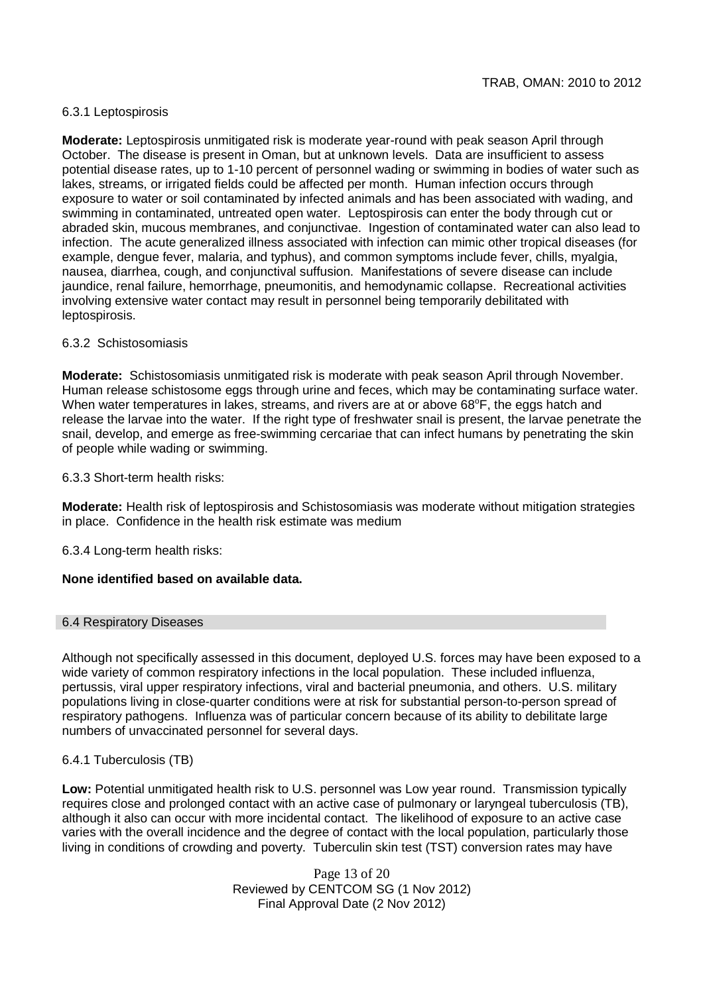#### 6.3.1 Leptospirosis

**Moderate:** Leptospirosis unmitigated risk is moderate year-round with peak season April through October. The disease is present in Oman, but at unknown levels. Data are insufficient to assess potential disease rates, up to 1-10 percent of personnel wading or swimming in bodies of water such as lakes, streams, or irrigated fields could be affected per month. Human infection occurs through exposure to water or soil contaminated by infected animals and has been associated with wading, and swimming in contaminated, untreated open water. Leptospirosis can enter the body through cut or abraded skin, mucous membranes, and conjunctivae. Ingestion of contaminated water can also lead to infection. The acute generalized illness associated with infection can mimic other tropical diseases (for example, dengue fever, malaria, and typhus), and common symptoms include fever, chills, myalgia, nausea, diarrhea, cough, and conjunctival suffusion. Manifestations of severe disease can include jaundice, renal failure, hemorrhage, pneumonitis, and hemodynamic collapse. Recreational activities involving extensive water contact may result in personnel being temporarily debilitated with leptospirosis.

#### 6.3.2 Schistosomiasis

**Moderate:** Schistosomiasis unmitigated risk is moderate with peak season April through November. Human release schistosome eggs through urine and feces, which may be contaminating surface water. When water temperatures in lakes, streams, and rivers are at or above 68°F, the eggs hatch and release the larvae into the water. If the right type of freshwater snail is present, the larvae penetrate the snail, develop, and emerge as free-swimming cercariae that can infect humans by penetrating the skin of people while wading or swimming.

6.3.3 Short-term health risks:

**Moderate:** Health risk of leptospirosis and Schistosomiasis was moderate without mitigation strategies in place. Confidence in the health risk estimate was medium

6.3.4 Long-term health risks:

#### **None identified based on available data.**

#### 6.4 Respiratory Diseases

Although not specifically assessed in this document, deployed U.S. forces may have been exposed to a wide variety of common respiratory infections in the local population. These included influenza, pertussis, viral upper respiratory infections, viral and bacterial pneumonia, and others. U.S. military populations living in close-quarter conditions were at risk for substantial person-to-person spread of respiratory pathogens. Influenza was of particular concern because of its ability to debilitate large numbers of unvaccinated personnel for several days.

#### 6.4.1 Tuberculosis (TB)

**Low:** Potential unmitigated health risk to U.S. personnel was Low year round. Transmission typically requires close and prolonged contact with an active case of pulmonary or laryngeal tuberculosis (TB), although it also can occur with more incidental contact. The likelihood of exposure to an active case varies with the overall incidence and the degree of contact with the local population, particularly those living in conditions of crowding and poverty. Tuberculin skin test (TST) conversion rates may have

> Page 13 of 20 Reviewed by CENTCOM SG (1 Nov 2012) Final Approval Date (2 Nov 2012)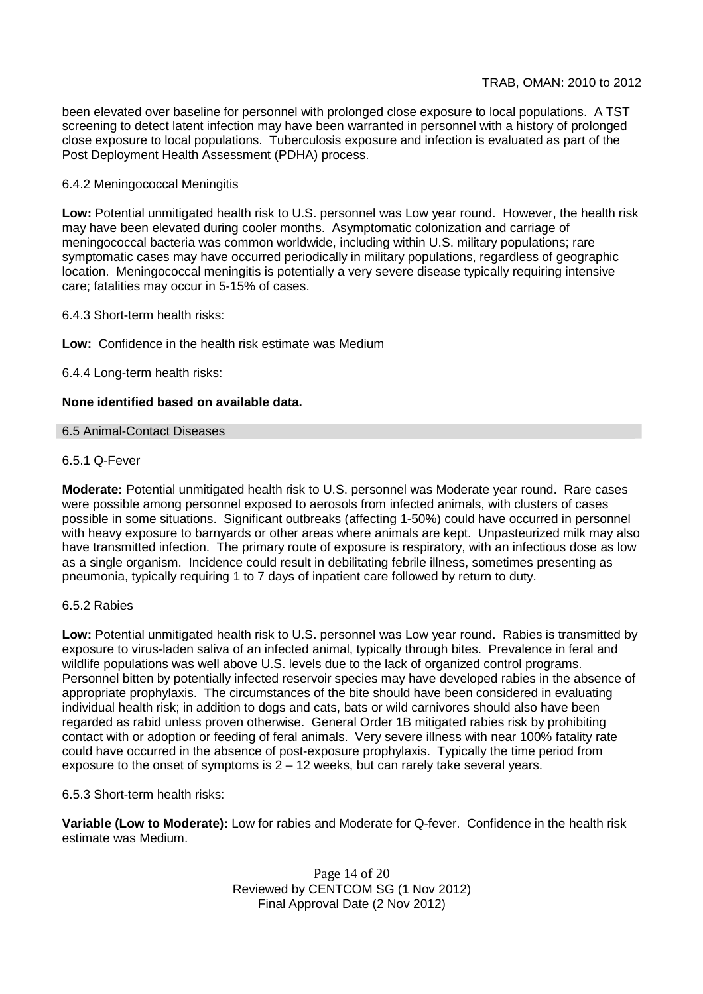been elevated over baseline for personnel with prolonged close exposure to local populations. A TST screening to detect latent infection may have been warranted in personnel with a history of prolonged close exposure to local populations. Tuberculosis exposure and infection is evaluated as part of the Post Deployment Health Assessment (PDHA) process.

## 6.4.2 Meningococcal Meningitis

**Low:** Potential unmitigated health risk to U.S. personnel was Low year round. However, the health risk may have been elevated during cooler months. Asymptomatic colonization and carriage of meningococcal bacteria was common worldwide, including within U.S. military populations; rare symptomatic cases may have occurred periodically in military populations, regardless of geographic location. Meningococcal meningitis is potentially a very severe disease typically requiring intensive care; fatalities may occur in 5-15% of cases.

6.4.3 Short-term health risks:

**Low:** Confidence in the health risk estimate was Medium

6.4.4 Long-term health risks:

### **None identified based on available data.**

#### 6.5 Animal-Contact Diseases

### 6.5.1 Q-Fever

**Moderate:** Potential unmitigated health risk to U.S. personnel was Moderate year round. Rare cases were possible among personnel exposed to aerosols from infected animals, with clusters of cases possible in some situations. Significant outbreaks (affecting 1-50%) could have occurred in personnel with heavy exposure to barnyards or other areas where animals are kept. Unpasteurized milk may also have transmitted infection. The primary route of exposure is respiratory, with an infectious dose as low as a single organism. Incidence could result in debilitating febrile illness, sometimes presenting as pneumonia, typically requiring 1 to 7 days of inpatient care followed by return to duty.

#### 6.5.2 Rabies

**Low:** Potential unmitigated health risk to U.S. personnel was Low year round. Rabies is transmitted by exposure to virus-laden saliva of an infected animal, typically through bites. Prevalence in feral and wildlife populations was well above U.S. levels due to the lack of organized control programs. Personnel bitten by potentially infected reservoir species may have developed rabies in the absence of appropriate prophylaxis. The circumstances of the bite should have been considered in evaluating individual health risk; in addition to dogs and cats, bats or wild carnivores should also have been regarded as rabid unless proven otherwise. General Order 1B mitigated rabies risk by prohibiting contact with or adoption or feeding of feral animals. Very severe illness with near 100% fatality rate could have occurred in the absence of post-exposure prophylaxis. Typically the time period from exposure to the onset of symptoms is  $2 - 12$  weeks, but can rarely take several years.

6.5.3 Short-term health risks:

**Variable (Low to Moderate):** Low for rabies and Moderate for Q-fever. Confidence in the health risk estimate was Medium.

> Page 14 of 20 Reviewed by CENTCOM SG (1 Nov 2012) Final Approval Date (2 Nov 2012)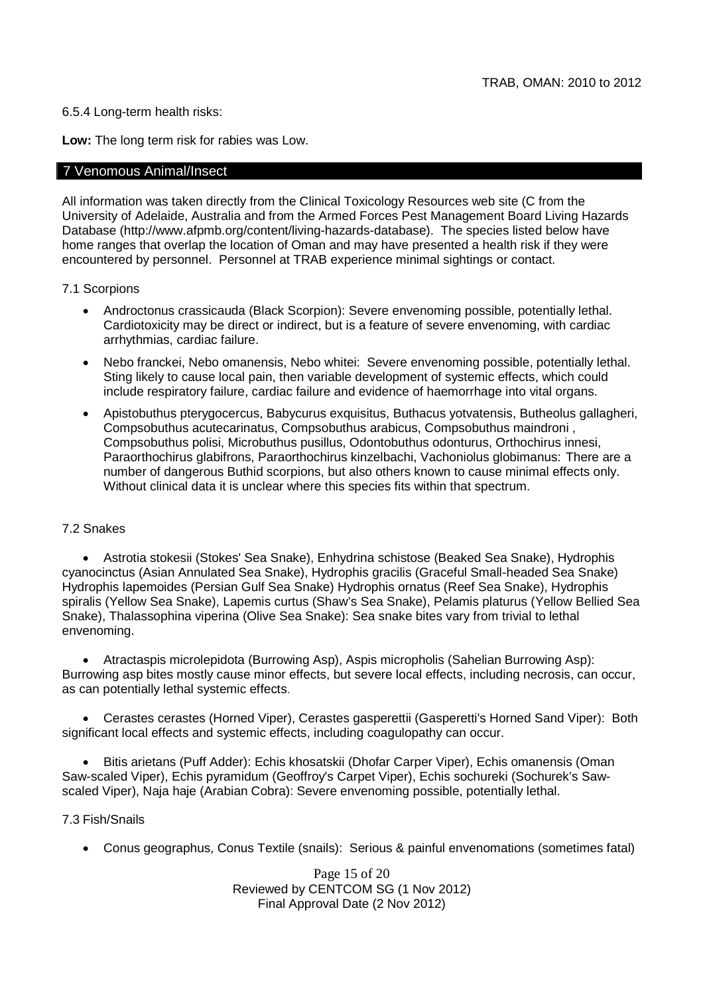### 6.5.4 Long-term health risks:

**Low:** The long term risk for rabies was Low.

### 7 Venomous Animal/Insect

All information was taken directly from the Clinical Toxicology Resources web site (C from the University of Adelaide, Australia and from the Armed Forces Pest Management Board Living Hazards Database (http://www.afpmb.org/content/living-hazards-database). The species listed below have home ranges that overlap the location of Oman and may have presented a health risk if they were encountered by personnel. Personnel at TRAB experience minimal sightings or contact.

### 7.1 Scorpions

- Androctonus crassicauda (Black Scorpion): Severe envenoming possible, potentially lethal. Cardiotoxicity may be direct or indirect, but is a feature of severe envenoming, with cardiac arrhythmias, cardiac failure.
- Nebo franckei, Nebo omanensis, Nebo whitei: Severe envenoming possible, potentially lethal. Sting likely to cause local pain, then variable development of systemic effects, which could include respiratory failure, cardiac failure and evidence of haemorrhage into vital organs.
- Apistobuthus pterygocercus, Babycurus exquisitus, Buthacus yotvatensis, Butheolus gallagheri, Compsobuthus acutecarinatus, Compsobuthus arabicus, Compsobuthus maindroni , Compsobuthus polisi, Microbuthus pusillus, Odontobuthus odonturus, Orthochirus innesi, Paraorthochirus glabifrons, Paraorthochirus kinzelbachi, Vachoniolus globimanus: There are a number of dangerous Buthid scorpions, but also others known to cause minimal effects only. Without clinical data it is unclear where this species fits within that spectrum.

## 7.2 Snakes

 Astrotia stokesii (Stokes' Sea Snake), Enhydrina schistose (Beaked Sea Snake), Hydrophis cyanocinctus (Asian Annulated Sea Snake), Hydrophis gracilis (Graceful Small-headed Sea Snake) Hydrophis lapemoides (Persian Gulf Sea Snake) Hydrophis ornatus (Reef Sea Snake), Hydrophis spiralis (Yellow Sea Snake), Lapemis curtus (Shaw's Sea Snake), Pelamis platurus (Yellow Bellied Sea Snake), Thalassophina viperina (Olive Sea Snake): Sea snake bites vary from trivial to lethal envenoming.

 Atractaspis microlepidota (Burrowing Asp), Aspis micropholis (Sahelian Burrowing Asp): Burrowing asp bites mostly cause minor effects, but severe local effects, including necrosis, can occur, as can potentially lethal systemic effects.

 Cerastes cerastes (Horned Viper), Cerastes gasperettii (Gasperetti's Horned Sand Viper): Both significant local effects and systemic effects, including coagulopathy can occur.

 Bitis arietans (Puff Adder): Echis khosatskii (Dhofar Carper Viper), Echis omanensis (Oman Saw-scaled Viper), Echis pyramidum (Geoffroy's Carpet Viper), Echis sochureki (Sochurek's Sawscaled Viper), Naja haje (Arabian Cobra): Severe envenoming possible, potentially lethal.

## 7.3 Fish/Snails

Conus geographus, Conus Textile (snails): Serious & painful envenomations (sometimes fatal)

Page 15 of 20 Reviewed by CENTCOM SG (1 Nov 2012) Final Approval Date (2 Nov 2012)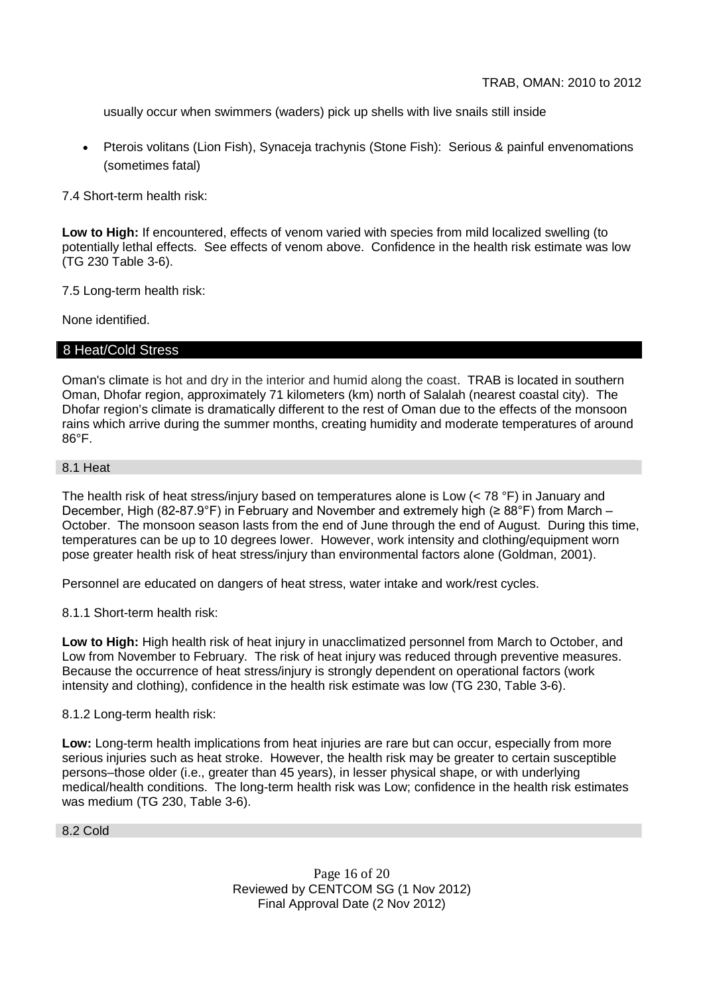usually occur when swimmers (waders) pick up shells with live snails still inside

 Pterois volitans (Lion Fish), Synaceja trachynis (Stone Fish): Serious & painful envenomations (sometimes fatal)

7.4 Short-term health risk:

**Low to High:** If encountered, effects of venom varied with species from mild localized swelling (to potentially lethal effects. See effects of venom above. Confidence in the health risk estimate was low (TG 230 Table 3-6).

7.5 Long-term health risk:

None identified.

### 8 Heat/Cold Stress

Oman's climate is hot and dry in the interior and humid along the coast. TRAB is located in southern Oman, Dhofar region, approximately 71 kilometers (km) north of Salalah (nearest coastal city). The Dhofar region's climate is dramatically different to the rest of Oman due to the effects of the monsoon rains which arrive during the summer months, creating humidity and moderate temperatures of around 86°F.

#### 8.1 Heat

The health risk of heat stress/injury based on temperatures alone is Low (< 78 °F) in January and December, High (82-87.9°F) in February and November and extremely high (≥ 88°F) from March – October. The monsoon season lasts from the end of June through the end of August. During this time, temperatures can be up to 10 degrees lower. However, work intensity and clothing/equipment worn pose greater health risk of heat stress/injury than environmental factors alone (Goldman, 2001).

Personnel are educated on dangers of heat stress, water intake and work/rest cycles.

8.1.1 Short-term health risk:

**Low to High:** High health risk of heat injury in unacclimatized personnel from March to October, and Low from November to February. The risk of heat injury was reduced through preventive measures. Because the occurrence of heat stress/injury is strongly dependent on operational factors (work intensity and clothing), confidence in the health risk estimate was low (TG 230, Table 3-6).

8.1.2 Long-term health risk:

**Low:** Long-term health implications from heat injuries are rare but can occur, especially from more serious injuries such as heat stroke. However, the health risk may be greater to certain susceptible persons–those older (i.e., greater than 45 years), in lesser physical shape, or with underlying medical/health conditions. The long-term health risk was Low; confidence in the health risk estimates was medium (TG 230, Table 3-6).

8.2 Cold

Page 16 of 20 Reviewed by CENTCOM SG (1 Nov 2012) Final Approval Date (2 Nov 2012)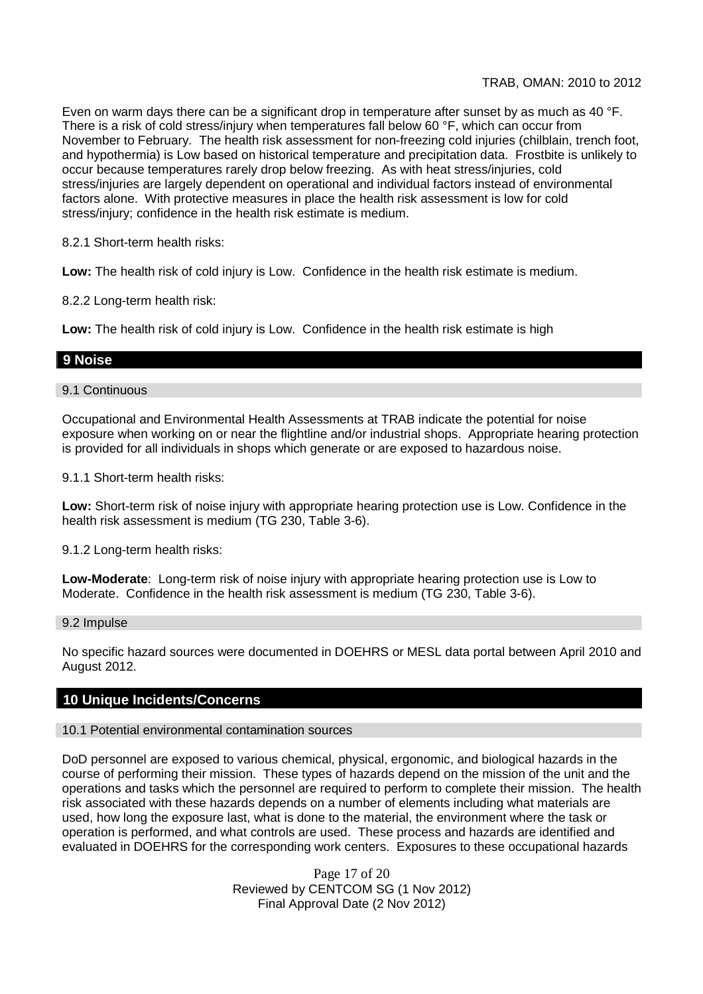Even on warm days there can be a significant drop in temperature after sunset by as much as 40 °F. There is a risk of cold stress/injury when temperatures fall below 60 °F, which can occur from November to February. The health risk assessment for non-freezing cold injuries (chilblain, trench foot, and hypothermia) is Low based on historical temperature and precipitation data. Frostbite is unlikely to occur because temperatures rarely drop below freezing. As with heat stress/injuries, cold stress/injuries are largely dependent on operational and individual factors instead of environmental factors alone. With protective measures in place the health risk assessment is low for cold stress/injury; confidence in the health risk estimate is medium.

8.2.1 Short-term health risks:

**Low:** The health risk of cold injury is Low. Confidence in the health risk estimate is medium.

8.2.2 Long-term health risk:

**Low:** The health risk of cold injury is Low. Confidence in the health risk estimate is high

## **9 Noise**

9.1 Continuous

Occupational and Environmental Health Assessments at TRAB indicate the potential for noise exposure when working on or near the flightline and/or industrial shops. Appropriate hearing protection is provided for all individuals in shops which generate or are exposed to hazardous noise.

9.1.1 Short-term health risks:

**Low:** Short-term risk of noise injury with appropriate hearing protection use is Low. Confidence in the health risk assessment is medium (TG 230, Table 3-6).

9.1.2 Long-term health risks:

**Low-Moderate**: Long-term risk of noise injury with appropriate hearing protection use is Low to Moderate. Confidence in the health risk assessment is medium (TG 230, Table 3-6).

9.2 Impulse

No specific hazard sources were documented in DOEHRS or MESL data portal between April 2010 and August 2012.

## **10 Unique Incidents/Concerns**

#### 10.1 Potential environmental contamination sources

DoD personnel are exposed to various chemical, physical, ergonomic, and biological hazards in the course of performing their mission. These types of hazards depend on the mission of the unit and the operations and tasks which the personnel are required to perform to complete their mission. The health risk associated with these hazards depends on a number of elements including what materials are used, how long the exposure last, what is done to the material, the environment where the task or operation is performed, and what controls are used. These process and hazards are identified and evaluated in DOEHRS for the corresponding work centers. Exposures to these occupational hazards

> Page 17 of 20 Reviewed by CENTCOM SG (1 Nov 2012) Final Approval Date (2 Nov 2012)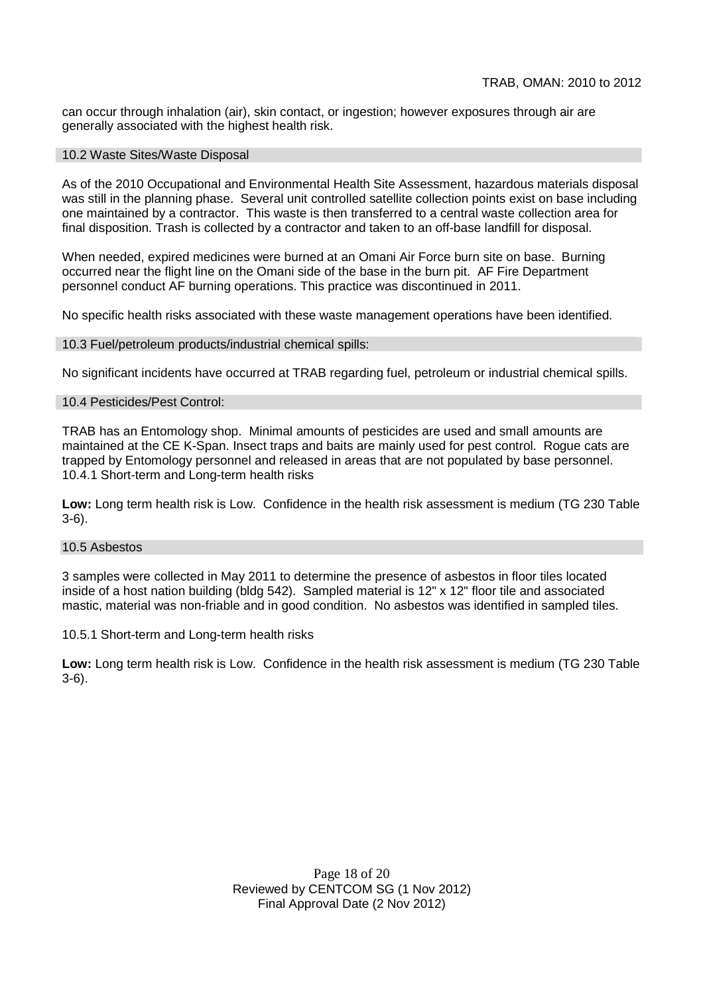can occur through inhalation (air), skin contact, or ingestion; however exposures through air are generally associated with the highest health risk.

#### 10.2 Waste Sites/Waste Disposal

As of the 2010 Occupational and Environmental Health Site Assessment, hazardous materials disposal was still in the planning phase. Several unit controlled satellite collection points exist on base including one maintained by a contractor. This waste is then transferred to a central waste collection area for final disposition. Trash is collected by a contractor and taken to an off-base landfill for disposal.

When needed, expired medicines were burned at an Omani Air Force burn site on base. Burning occurred near the flight line on the Omani side of the base in the burn pit. AF Fire Department personnel conduct AF burning operations. This practice was discontinued in 2011.

No specific health risks associated with these waste management operations have been identified.

#### 10.3 Fuel/petroleum products/industrial chemical spills:

No significant incidents have occurred at TRAB regarding fuel, petroleum or industrial chemical spills.

#### 10.4 Pesticides/Pest Control:

TRAB has an Entomology shop. Minimal amounts of pesticides are used and small amounts are maintained at the CE K-Span. Insect traps and baits are mainly used for pest control. Rogue cats are trapped by Entomology personnel and released in areas that are not populated by base personnel. 10.4.1 Short-term and Long-term health risks

**Low:** Long term health risk is Low. Confidence in the health risk assessment is medium (TG 230 Table 3-6).

#### 10.5 Asbestos

3 samples were collected in May 2011 to determine the presence of asbestos in floor tiles located inside of a host nation building (bldg 542). Sampled material is 12" x 12" floor tile and associated mastic, material was non-friable and in good condition. No asbestos was identified in sampled tiles.

#### 10.5.1 Short-term and Long-term health risks

**Low:** Long term health risk is Low. Confidence in the health risk assessment is medium (TG 230 Table 3-6).

> Page 18 of 20 Reviewed by CENTCOM SG (1 Nov 2012) Final Approval Date (2 Nov 2012)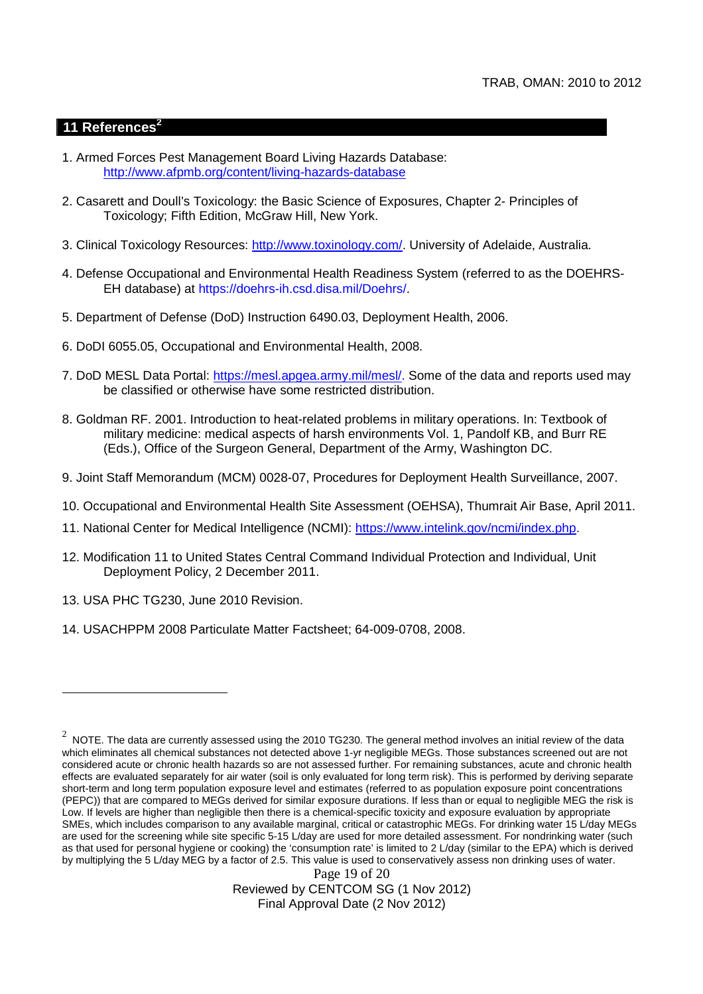## **11 References<sup>2</sup>**

- 1. Armed Forces Pest Management Board Living Hazards Database: http://www.afpmb.org/content/living-hazards-database
- 2. Casarett and Doull's Toxicology: the Basic Science of Exposures, Chapter 2- Principles of Toxicology; Fifth Edition, McGraw Hill, New York.
- 3. Clinical Toxicology Resources: http://www.toxinology.com/. University of Adelaide, Australia.
- 4. Defense Occupational and Environmental Health Readiness System (referred to as the DOEHRS-EH database) at https://doehrs-ih.csd.disa.mil/Doehrs/.
- 5. Department of Defense (DoD) Instruction 6490.03, Deployment Health, 2006.
- 6. DoDI 6055.05, Occupational and Environmental Health, 2008.
- 7. DoD MESL Data Portal: https://mesl.apgea.army.mil/mesl/. Some of the data and reports used may be classified or otherwise have some restricted distribution.
- 8. Goldman RF. 2001. Introduction to heat-related problems in military operations. In: Textbook of military medicine: medical aspects of harsh environments Vol. 1, Pandolf KB, and Burr RE (Eds.), Office of the Surgeon General, Department of the Army, Washington DC.
- 9. Joint Staff Memorandum (MCM) 0028-07, Procedures for Deployment Health Surveillance, 2007.
- 10. Occupational and Environmental Health Site Assessment (OEHSA), Thumrait Air Base, April 2011.
- 11. National Center for Medical Intelligence (NCMI): https://www.intelink.gov/ncmi/index.php.
- 12. Modification 11 to United States Central Command Individual Protection and Individual, Unit Deployment Policy, 2 December 2011.
- 13. USA PHC TG230, June 2010 Revision.
- 14. USACHPPM 2008 Particulate Matter Factsheet; 64-009-0708, 2008.

Page 19 of 20 Reviewed by CENTCOM SG (1 Nov 2012) Final Approval Date (2 Nov 2012)

 $^2$  NOTE. The data are currently assessed using the 2010 TG230. The general method involves an initial review of the data which eliminates all chemical substances not detected above 1-yr negligible MEGs. Those substances screened out are not considered acute or chronic health hazards so are not assessed further. For remaining substances, acute and chronic health effects are evaluated separately for air water (soil is only evaluated for long term risk). This is performed by deriving separate short-term and long term population exposure level and estimates (referred to as population exposure point concentrations (PEPC)) that are compared to MEGs derived for similar exposure durations. If less than or equal to negligible MEG the risk is Low. If levels are higher than negligible then there is a chemical-specific toxicity and exposure evaluation by appropriate SMEs, which includes comparison to any available marginal, critical or catastrophic MEGs. For drinking water 15 L/day MEGs are used for the screening while site specific 5-15 L/day are used for more detailed assessment. For nondrinking water (such as that used for personal hygiene or cooking) the 'consumption rate' is limited to 2 L/day (similar to the EPA) which is derived by multiplying the 5 L/day MEG by a factor of 2.5. This value is used to conservatively assess non drinking uses of water.